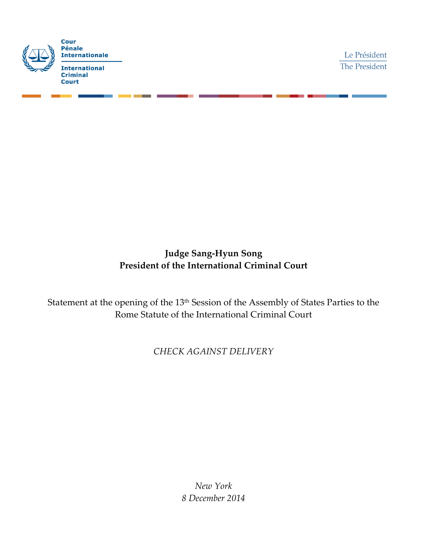

Le Président The President

## **Judge Sang-Hyun Song President of the International Criminal Court**

Statement at the opening of the 13th Session of the Assembly of States Parties to the Rome Statute of the International Criminal Court

*CHECK AGAINST DELIVERY*

*New York 8 December 2014*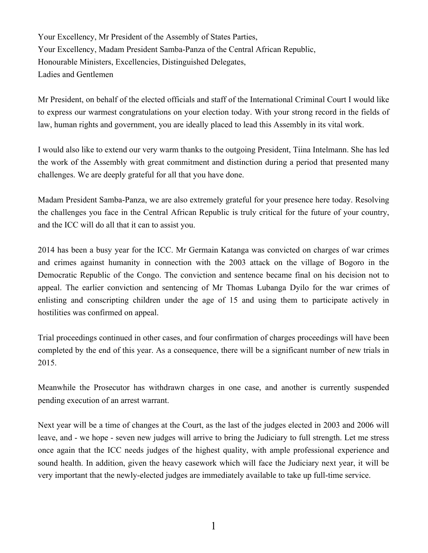Your Excellency, Mr President of the Assembly of States Parties, Your Excellency, Madam President Samba-Panza of the Central African Republic, Honourable Ministers, Excellencies, Distinguished Delegates, Ladies and Gentlemen

Mr President, on behalf of the elected officials and staff of the International Criminal Court I would like to express our warmest congratulations on your election today. With your strong record in the fields of law, human rights and government, you are ideally placed to lead this Assembly in its vital work.

I would also like to extend our very warm thanks to the outgoing President, Tiina Intelmann. She has led the work of the Assembly with great commitment and distinction during a period that presented many challenges. We are deeply grateful for all that you have done.

Madam President Samba-Panza, we are also extremely grateful for your presence here today. Resolving the challenges you face in the Central African Republic is truly critical for the future of your country, and the ICC will do all that it can to assist you.

2014 has been a busy year for the ICC. Mr Germain Katanga was convicted on charges of war crimes and crimes against humanity in connection with the 2003 attack on the village of Bogoro in the Democratic Republic of the Congo. The conviction and sentence became final on his decision not to appeal. The earlier conviction and sentencing of Mr Thomas Lubanga Dyilo for the war crimes of enlisting and conscripting children under the age of 15 and using them to participate actively in hostilities was confirmed on appeal.

Trial proceedings continued in other cases, and four confirmation of charges proceedings will have been completed by the end of this year. As a consequence, there will be a significant number of new trials in 2015.

Meanwhile the Prosecutor has withdrawn charges in one case, and another is currently suspended pending execution of an arrest warrant.

Next year will be a time of changes at the Court, as the last of the judges elected in 2003 and 2006 will leave, and - we hope - seven new judges will arrive to bring the Judiciary to full strength. Let me stress once again that the ICC needs judges of the highest quality, with ample professional experience and sound health. In addition, given the heavy casework which will face the Judiciary next year, it will be very important that the newly-elected judges are immediately available to take up full-time service.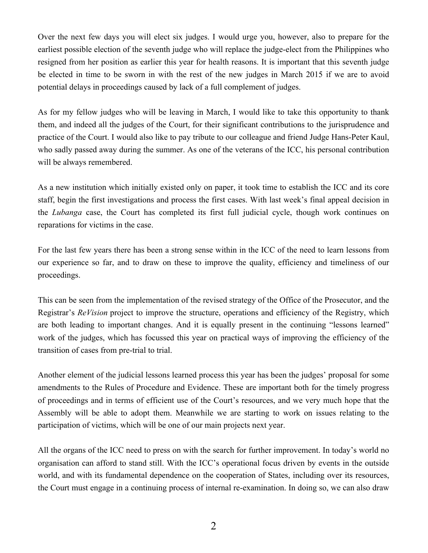Over the next few days you will elect six judges. I would urge you, however, also to prepare for the earliest possible election of the seventh judge who will replace the judge-elect from the Philippines who resigned from her position as earlier this year for health reasons. It is important that this seventh judge be elected in time to be sworn in with the rest of the new judges in March 2015 if we are to avoid potential delays in proceedings caused by lack of a full complement of judges.

As for my fellow judges who will be leaving in March, I would like to take this opportunity to thank them, and indeed all the judges of the Court, for their significant contributions to the jurisprudence and practice of the Court. I would also like to pay tribute to our colleague and friend Judge Hans-Peter Kaul, who sadly passed away during the summer. As one of the veterans of the ICC, his personal contribution will be always remembered.

As a new institution which initially existed only on paper, it took time to establish the ICC and its core staff, begin the first investigations and process the first cases. With last week's final appeal decision in the *Lubanga* case, the Court has completed its first full judicial cycle, though work continues on reparations for victims in the case.

For the last few years there has been a strong sense within in the ICC of the need to learn lessons from our experience so far, and to draw on these to improve the quality, efficiency and timeliness of our proceedings.

This can be seen from the implementation of the revised strategy of the Office of the Prosecutor, and the Registrar's *ReVision* project to improve the structure, operations and efficiency of the Registry, which are both leading to important changes. And it is equally present in the continuing "lessons learned" work of the judges, which has focussed this year on practical ways of improving the efficiency of the transition of cases from pre-trial to trial.

Another element of the judicial lessons learned process this year has been the judges' proposal for some amendments to the Rules of Procedure and Evidence. These are important both for the timely progress of proceedings and in terms of efficient use of the Court's resources, and we very much hope that the Assembly will be able to adopt them. Meanwhile we are starting to work on issues relating to the participation of victims, which will be one of our main projects next year.

All the organs of the ICC need to press on with the search for further improvement. In today's world no organisation can afford to stand still. With the ICC's operational focus driven by events in the outside world, and with its fundamental dependence on the cooperation of States, including over its resources, the Court must engage in a continuing process of internal re-examination. In doing so, we can also draw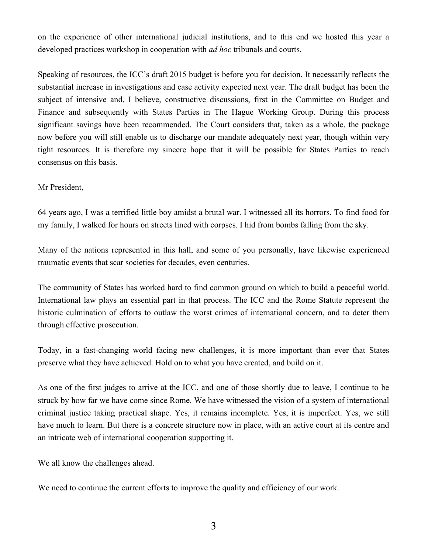on the experience of other international judicial institutions, and to this end we hosted this year a developed practices workshop in cooperation with *ad hoc* tribunals and courts.

Speaking of resources, the ICC's draft 2015 budget is before you for decision. It necessarily reflects the substantial increase in investigations and case activity expected next year. The draft budget has been the subject of intensive and, I believe, constructive discussions, first in the Committee on Budget and Finance and subsequently with States Parties in The Hague Working Group. During this process significant savings have been recommended. The Court considers that, taken as a whole, the package now before you will still enable us to discharge our mandate adequately next year, though within very tight resources. It is therefore my sincere hope that it will be possible for States Parties to reach consensus on this basis.

Mr President,

64 years ago, I was a terrified little boy amidst a brutal war. I witnessed all its horrors. To find food for my family, I walked for hours on streets lined with corpses. I hid from bombs falling from the sky.

Many of the nations represented in this hall, and some of you personally, have likewise experienced traumatic events that scar societies for decades, even centuries.

The community of States has worked hard to find common ground on which to build a peaceful world. International law plays an essential part in that process. The ICC and the Rome Statute represent the historic culmination of efforts to outlaw the worst crimes of international concern, and to deter them through effective prosecution.

Today, in a fast-changing world facing new challenges, it is more important than ever that States preserve what they have achieved. Hold on to what you have created, and build on it.

As one of the first judges to arrive at the ICC, and one of those shortly due to leave, I continue to be struck by how far we have come since Rome. We have witnessed the vision of a system of international criminal justice taking practical shape. Yes, it remains incomplete. Yes, it is imperfect. Yes, we still have much to learn. But there is a concrete structure now in place, with an active court at its centre and an intricate web of international cooperation supporting it.

We all know the challenges ahead.

We need to continue the current efforts to improve the quality and efficiency of our work.